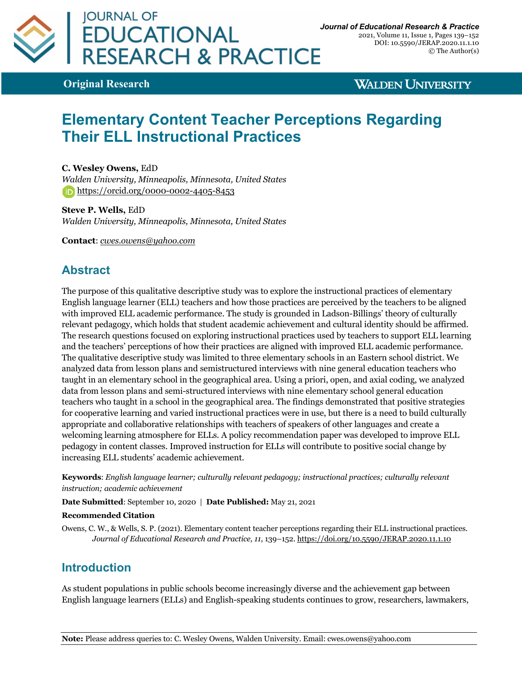

2021, Volume 11, Issue 1, Pages 139–152 DOI: 10.5590/JERAP.2020.11.1.10 © The Author(s)

**Original Research**

**WALDEN UNIVERSITY** 

# **Elementary Content Teacher Perceptions Regarding Their ELL Instructional Practices**

**C. Wesley Owens,** EdD *Walden University, Minneapolis, Minnesota, United States* https://orcid.org/0000-0002-4405-8453

**Steve P. Wells,** EdD *Walden University, Minneapolis, Minnesota, United States*

**Contact**: *cwes.owens@yahoo.com*

## **Abstract**

The purpose of this qualitative descriptive study was to explore the instructional practices of elementary English language learner (ELL) teachers and how those practices are perceived by the teachers to be aligned with improved ELL academic performance. The study is grounded in Ladson-Billings' theory of culturally relevant pedagogy, which holds that student academic achievement and cultural identity should be affirmed. The research questions focused on exploring instructional practices used by teachers to support ELL learning and the teachers' perceptions of how their practices are aligned with improved ELL academic performance. The qualitative descriptive study was limited to three elementary schools in an Eastern school district. We analyzed data from lesson plans and semistructured interviews with nine general education teachers who taught in an elementary school in the geographical area. Using a priori, open, and axial coding, we analyzed data from lesson plans and semi-structured interviews with nine elementary school general education teachers who taught in a school in the geographical area. The findings demonstrated that positive strategies for cooperative learning and varied instructional practices were in use, but there is a need to build culturally appropriate and collaborative relationships with teachers of speakers of other languages and create a welcoming learning atmosphere for ELLs. A policy recommendation paper was developed to improve ELL pedagogy in content classes. Improved instruction for ELLs will contribute to positive social change by increasing ELL students' academic achievement.

**Keywords**: *English language learner; culturally relevant pedagogy; instructional practices; culturally relevant instruction; academic achievement*

**Date Submitted**: September 10, 2020 | **Date Published:** May 21, 2021

#### **Recommended Citation**

Owens, C. W., & Wells, S. P. (2021). Elementary content teacher perceptions regarding their ELL instructional practices. *Journal of Educational Research and Practice, 11*, 139–152. https://doi.org/10.5590/JERAP.2020.11.1.10

### **Introduction**

As student populations in public schools become increasingly diverse and the achievement gap between English language learners (ELLs) and English-speaking students continues to grow, researchers, lawmakers,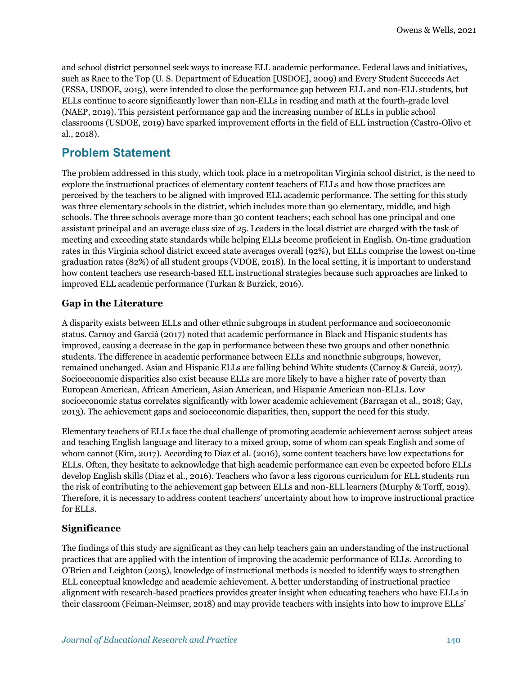and school district personnel seek ways to increase ELL academic performance. Federal laws and initiatives, such as Race to the Top (U. S. Department of Education [USDOE], 2009) and Every Student Succeeds Act (ESSA, USDOE, 2015), were intended to close the performance gap between ELL and non-ELL students, but ELLs continue to score significantly lower than non-ELLs in reading and math at the fourth-grade level (NAEP, 2019). This persistent performance gap and the increasing number of ELLs in public school classrooms (USDOE, 2019) have sparked improvement efforts in the field of ELL instruction (Castro-Olivo et al., 2018).

## **Problem Statement**

The problem addressed in this study, which took place in a metropolitan Virginia school district, is the need to explore the instructional practices of elementary content teachers of ELLs and how those practices are perceived by the teachers to be aligned with improved ELL academic performance. The setting for this study was three elementary schools in the district, which includes more than 90 elementary, middle, and high schools. The three schools average more than 30 content teachers; each school has one principal and one assistant principal and an average class size of 25. Leaders in the local district are charged with the task of meeting and exceeding state standards while helping ELLs become proficient in English. On-time graduation rates in this Virginia school district exceed state averages overall (92%), but ELLs comprise the lowest on-time graduation rates (82%) of all student groups (VDOE, 2018). In the local setting, it is important to understand how content teachers use research-based ELL instructional strategies because such approaches are linked to improved ELL academic performance (Turkan & Burzick, 2016).

### **Gap in the Literature**

A disparity exists between ELLs and other ethnic subgroups in student performance and socioeconomic status. Carnoy and Garciá (2017) noted that academic performance in Black and Hispanic students has improved, causing a decrease in the gap in performance between these two groups and other nonethnic students. The difference in academic performance between ELLs and nonethnic subgroups, however, remained unchanged. Asian and Hispanic ELLs are falling behind White students (Carnoy & Garciá, 2017). Socioeconomic disparities also exist because ELLs are more likely to have a higher rate of poverty than European American, African American, Asian American, and Hispanic American non-ELLs. Low socioeconomic status correlates significantly with lower academic achievement (Barragan et al., 2018; Gay, 2013). The achievement gaps and socioeconomic disparities, then, support the need for this study.

Elementary teachers of ELLs face the dual challenge of promoting academic achievement across subject areas and teaching English language and literacy to a mixed group, some of whom can speak English and some of whom cannot (Kim, 2017). According to Diaz et al. (2016), some content teachers have low expectations for ELLs. Often, they hesitate to acknowledge that high academic performance can even be expected before ELLs develop English skills (Diaz et al., 2016). Teachers who favor a less rigorous curriculum for ELL students run the risk of contributing to the achievement gap between ELLs and non-ELL learners (Murphy & Torff, 2019). Therefore, it is necessary to address content teachers' uncertainty about how to improve instructional practice for ELLs.

### **Significance**

The findings of this study are significant as they can help teachers gain an understanding of the instructional practices that are applied with the intention of improving the academic performance of ELLs. According to O'Brien and Leighton (2015), knowledge of instructional methods is needed to identify ways to strengthen ELL conceptual knowledge and academic achievement. A better understanding of instructional practice alignment with research-based practices provides greater insight when educating teachers who have ELLs in their classroom (Feiman-Neimser, 2018) and may provide teachers with insights into how to improve ELLs'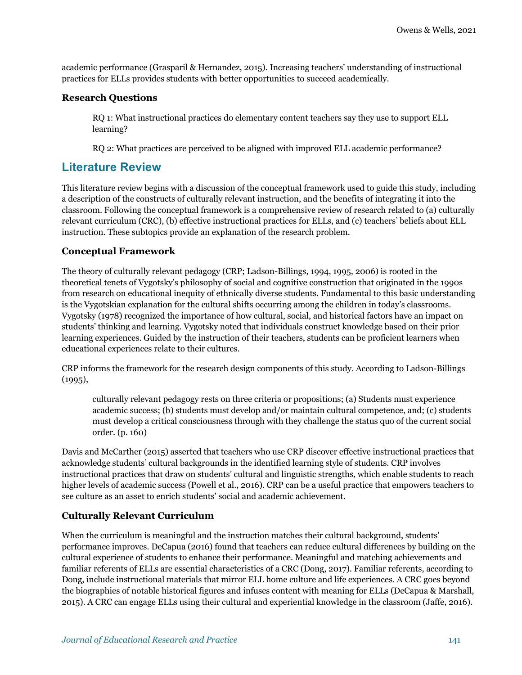academic performance (Grasparil & Hernandez, 2015). Increasing teachers' understanding of instructional practices for ELLs provides students with better opportunities to succeed academically.

### **Research Questions**

RQ 1: What instructional practices do elementary content teachers say they use to support ELL learning?

RQ 2: What practices are perceived to be aligned with improved ELL academic performance?

## **Literature Review**

This literature review begins with a discussion of the conceptual framework used to guide this study, including a description of the constructs of culturally relevant instruction, and the benefits of integrating it into the classroom. Following the conceptual framework is a comprehensive review of research related to (a) culturally relevant curriculum (CRC), (b) effective instructional practices for ELLs, and (c) teachers' beliefs about ELL instruction. These subtopics provide an explanation of the research problem.

### **Conceptual Framework**

The theory of culturally relevant pedagogy (CRP; Ladson-Billings, 1994, 1995, 2006) is rooted in the theoretical tenets of Vygotsky's philosophy of social and cognitive construction that originated in the 1990s from research on educational inequity of ethnically diverse students. Fundamental to this basic understanding is the Vygotskian explanation for the cultural shifts occurring among the children in today's classrooms. Vygotsky (1978) recognized the importance of how cultural, social, and historical factors have an impact on students' thinking and learning. Vygotsky noted that individuals construct knowledge based on their prior learning experiences. Guided by the instruction of their teachers, students can be proficient learners when educational experiences relate to their cultures.

CRP informs the framework for the research design components of this study. According to Ladson-Billings  $(1995),$ 

culturally relevant pedagogy rests on three criteria or propositions; (a) Students must experience academic success; (b) students must develop and/or maintain cultural competence, and; (c) students must develop a critical consciousness through with they challenge the status quo of the current social order. (p. 160)

Davis and McCarther (2015) asserted that teachers who use CRP discover effective instructional practices that acknowledge students' cultural backgrounds in the identified learning style of students. CRP involves instructional practices that draw on students' cultural and linguistic strengths, which enable students to reach higher levels of academic success (Powell et al., 2016). CRP can be a useful practice that empowers teachers to see culture as an asset to enrich students' social and academic achievement.

### **Culturally Relevant Curriculum**

When the curriculum is meaningful and the instruction matches their cultural background, students' performance improves. DeCapua (2016) found that teachers can reduce cultural differences by building on the cultural experience of students to enhance their performance. Meaningful and matching achievements and familiar referents of ELLs are essential characteristics of a CRC (Dong, 2017). Familiar referents, according to Dong, include instructional materials that mirror ELL home culture and life experiences. A CRC goes beyond the biographies of notable historical figures and infuses content with meaning for ELLs (DeCapua & Marshall, 2015). A CRC can engage ELLs using their cultural and experiential knowledge in the classroom (Jaffe, 2016).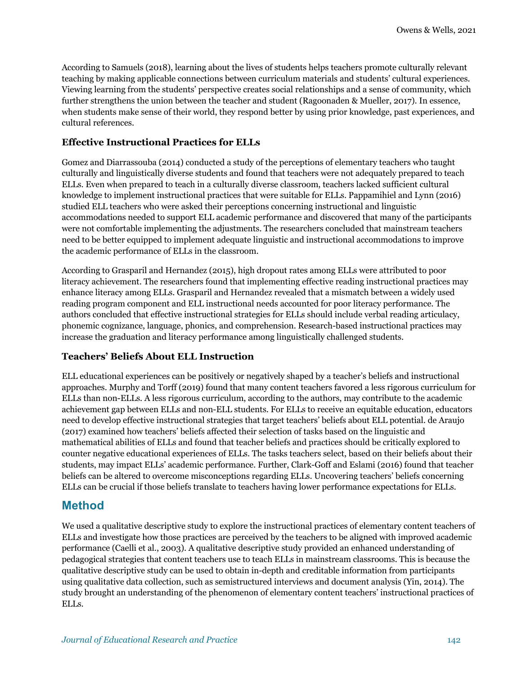According to Samuels (2018), learning about the lives of students helps teachers promote culturally relevant teaching by making applicable connections between curriculum materials and students' cultural experiences. Viewing learning from the students' perspective creates social relationships and a sense of community, which further strengthens the union between the teacher and student (Ragoonaden & Mueller, 2017). In essence, when students make sense of their world, they respond better by using prior knowledge, past experiences, and cultural references.

### **Effective Instructional Practices for ELLs**

Gomez and Diarrassouba (2014) conducted a study of the perceptions of elementary teachers who taught culturally and linguistically diverse students and found that teachers were not adequately prepared to teach ELLs. Even when prepared to teach in a culturally diverse classroom, teachers lacked sufficient cultural knowledge to implement instructional practices that were suitable for ELLs. Pappamihiel and Lynn (2016) studied ELL teachers who were asked their perceptions concerning instructional and linguistic accommodations needed to support ELL academic performance and discovered that many of the participants were not comfortable implementing the adjustments. The researchers concluded that mainstream teachers need to be better equipped to implement adequate linguistic and instructional accommodations to improve the academic performance of ELLs in the classroom.

According to Grasparil and Hernandez (2015), high dropout rates among ELLs were attributed to poor literacy achievement. The researchers found that implementing effective reading instructional practices may enhance literacy among ELLs. Grasparil and Hernandez revealed that a mismatch between a widely used reading program component and ELL instructional needs accounted for poor literacy performance. The authors concluded that effective instructional strategies for ELLs should include verbal reading articulacy, phonemic cognizance, language, phonics, and comprehension. Research-based instructional practices may increase the graduation and literacy performance among linguistically challenged students.

### **Teachers' Beliefs About ELL Instruction**

ELL educational experiences can be positively or negatively shaped by a teacher's beliefs and instructional approaches. Murphy and Torff (2019) found that many content teachers favored a less rigorous curriculum for ELLs than non-ELLs. A less rigorous curriculum, according to the authors, may contribute to the academic achievement gap between ELLs and non-ELL students. For ELLs to receive an equitable education, educators need to develop effective instructional strategies that target teachers' beliefs about ELL potential. de Araujo (2017) examined how teachers' beliefs affected their selection of tasks based on the linguistic and mathematical abilities of ELLs and found that teacher beliefs and practices should be critically explored to counter negative educational experiences of ELLs. The tasks teachers select, based on their beliefs about their students, may impact ELLs' academic performance. Further, Clark-Goff and Eslami (2016) found that teacher beliefs can be altered to overcome misconceptions regarding ELLs. Uncovering teachers' beliefs concerning ELLs can be crucial if those beliefs translate to teachers having lower performance expectations for ELLs.

### **Method**

We used a qualitative descriptive study to explore the instructional practices of elementary content teachers of ELLs and investigate how those practices are perceived by the teachers to be aligned with improved academic performance (Caelli et al., 2003). A qualitative descriptive study provided an enhanced understanding of pedagogical strategies that content teachers use to teach ELLs in mainstream classrooms. This is because the qualitative descriptive study can be used to obtain in-depth and creditable information from participants using qualitative data collection, such as semistructured interviews and document analysis (Yin, 2014). The study brought an understanding of the phenomenon of elementary content teachers' instructional practices of ELLs.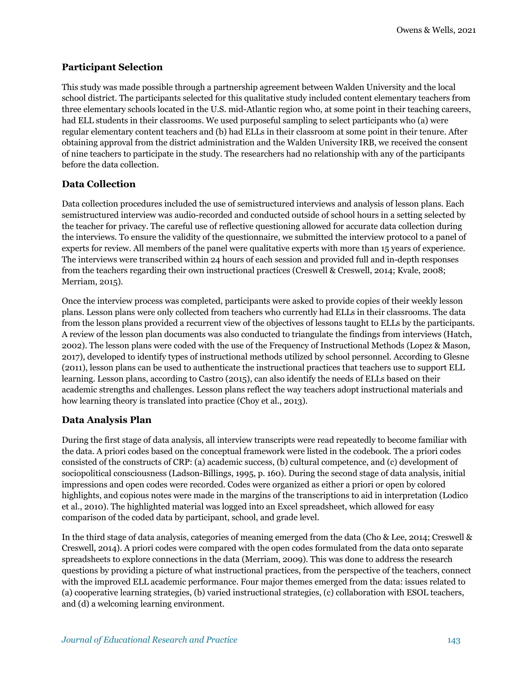### **Participant Selection**

This study was made possible through a partnership agreement between Walden University and the local school district. The participants selected for this qualitative study included content elementary teachers from three elementary schools located in the U.S. mid-Atlantic region who, at some point in their teaching careers, had ELL students in their classrooms. We used purposeful sampling to select participants who (a) were regular elementary content teachers and (b) had ELLs in their classroom at some point in their tenure. After obtaining approval from the district administration and the Walden University IRB, we received the consent of nine teachers to participate in the study. The researchers had no relationship with any of the participants before the data collection.

### **Data Collection**

Data collection procedures included the use of semistructured interviews and analysis of lesson plans. Each semistructured interview was audio-recorded and conducted outside of school hours in a setting selected by the teacher for privacy. The careful use of reflective questioning allowed for accurate data collection during the interviews. To ensure the validity of the questionnaire, we submitted the interview protocol to a panel of experts for review. All members of the panel were qualitative experts with more than 15 years of experience. The interviews were transcribed within 24 hours of each session and provided full and in-depth responses from the teachers regarding their own instructional practices (Creswell & Creswell, 2014; Kvale, 2008; Merriam, 2015).

Once the interview process was completed, participants were asked to provide copies of their weekly lesson plans. Lesson plans were only collected from teachers who currently had ELLs in their classrooms. The data from the lesson plans provided a recurrent view of the objectives of lessons taught to ELLs by the participants. A review of the lesson plan documents was also conducted to triangulate the findings from interviews (Hatch, 2002). The lesson plans were coded with the use of the Frequency of Instructional Methods (Lopez & Mason, 2017), developed to identify types of instructional methods utilized by school personnel. According to Glesne (2011), lesson plans can be used to authenticate the instructional practices that teachers use to support ELL learning. Lesson plans, according to Castro (2015), can also identify the needs of ELLs based on their academic strengths and challenges. Lesson plans reflect the way teachers adopt instructional materials and how learning theory is translated into practice (Choy et al., 2013).

### **Data Analysis Plan**

During the first stage of data analysis, all interview transcripts were read repeatedly to become familiar with the data. A priori codes based on the conceptual framework were listed in the codebook. The a priori codes consisted of the constructs of CRP: (a) academic success, (b) cultural competence, and (c) development of sociopolitical consciousness (Ladson-Billings, 1995, p. 160). During the second stage of data analysis, initial impressions and open codes were recorded. Codes were organized as either a priori or open by colored highlights, and copious notes were made in the margins of the transcriptions to aid in interpretation (Lodico et al., 2010). The highlighted material was logged into an Excel spreadsheet, which allowed for easy comparison of the coded data by participant, school, and grade level.

In the third stage of data analysis, categories of meaning emerged from the data (Cho & Lee, 2014; Creswell & Creswell, 2014). A priori codes were compared with the open codes formulated from the data onto separate spreadsheets to explore connections in the data (Merriam, 2009). This was done to address the research questions by providing a picture of what instructional practices, from the perspective of the teachers, connect with the improved ELL academic performance. Four major themes emerged from the data: issues related to (a) cooperative learning strategies, (b) varied instructional strategies, (c) collaboration with ESOL teachers, and (d) a welcoming learning environment.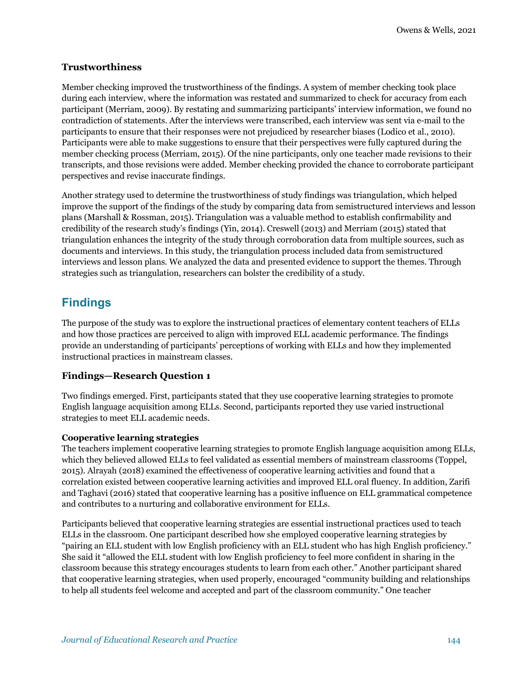### **Trustworthiness**

Member checking improved the trustworthiness of the findings. A system of member checking took place during each interview, where the information was restated and summarized to check for accuracy from each participant (Merriam, 2009). By restating and summarizing participants' interview information, we found no contradiction of statements. After the interviews were transcribed, each interview was sent via e-mail to the participants to ensure that their responses were not prejudiced by researcher biases (Lodico et al., 2010). Participants were able to make suggestions to ensure that their perspectives were fully captured during the member checking process (Merriam, 2015). Of the nine participants, only one teacher made revisions to their transcripts, and those revisions were added. Member checking provided the chance to corroborate participant perspectives and revise inaccurate findings.

Another strategy used to determine the trustworthiness of study findings was triangulation, which helped improve the support of the findings of the study by comparing data from semistructured interviews and lesson plans (Marshall & Rossman, 2015). Triangulation was a valuable method to establish confirmability and credibility of the research study's findings (Yin, 2014). Creswell (2013) and Merriam (2015) stated that triangulation enhances the integrity of the study through corroboration data from multiple sources, such as documents and interviews. In this study, the triangulation process included data from semistructured interviews and lesson plans. We analyzed the data and presented evidence to support the themes. Through strategies such as triangulation, researchers can bolster the credibility of a study.

## **Findings**

The purpose of the study was to explore the instructional practices of elementary content teachers of ELLs and how those practices are perceived to align with improved ELL academic performance. The findings provide an understanding of participants' perceptions of working with ELLs and how they implemented instructional practices in mainstream classes.

### **Findings—Research Question 1**

Two findings emerged. First, participants stated that they use cooperative learning strategies to promote English language acquisition among ELLs. Second, participants reported they use varied instructional strategies to meet ELL academic needs.

### **Cooperative learning strategies**

The teachers implement cooperative learning strategies to promote English language acquisition among ELLs, which they believed allowed ELLs to feel validated as essential members of mainstream classrooms (Toppel, 2015). Alrayah (2018) examined the effectiveness of cooperative learning activities and found that a correlation existed between cooperative learning activities and improved ELL oral fluency. In addition, Zarifi and Taghavi (2016) stated that cooperative learning has a positive influence on ELL grammatical competence and contributes to a nurturing and collaborative environment for ELLs.

Participants believed that cooperative learning strategies are essential instructional practices used to teach ELLs in the classroom. One participant described how she employed cooperative learning strategies by "pairing an ELL student with low English proficiency with an ELL student who has high English proficiency." She said it "allowed the ELL student with low English proficiency to feel more confident in sharing in the classroom because this strategy encourages students to learn from each other." Another participant shared that cooperative learning strategies, when used properly, encouraged "community building and relationships to help all students feel welcome and accepted and part of the classroom community." One teacher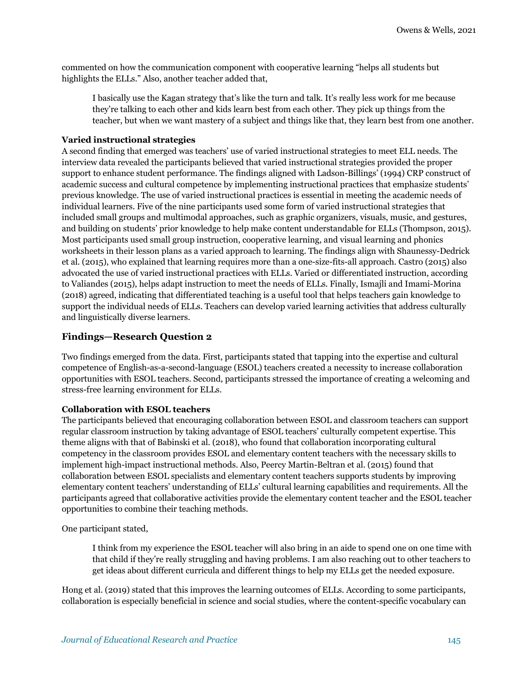commented on how the communication component with cooperative learning "helps all students but highlights the ELLs." Also, another teacher added that,

I basically use the Kagan strategy that's like the turn and talk. It's really less work for me because they're talking to each other and kids learn best from each other. They pick up things from the teacher, but when we want mastery of a subject and things like that, they learn best from one another.

#### **Varied instructional strategies**

A second finding that emerged was teachers' use of varied instructional strategies to meet ELL needs. The interview data revealed the participants believed that varied instructional strategies provided the proper support to enhance student performance. The findings aligned with Ladson-Billings' (1994) CRP construct of academic success and cultural competence by implementing instructional practices that emphasize students' previous knowledge. The use of varied instructional practices is essential in meeting the academic needs of individual learners. Five of the nine participants used some form of varied instructional strategies that included small groups and multimodal approaches, such as graphic organizers, visuals, music, and gestures, and building on students' prior knowledge to help make content understandable for ELLs (Thompson, 2015). Most participants used small group instruction, cooperative learning, and visual learning and phonics worksheets in their lesson plans as a varied approach to learning. The findings align with Shaunessy-Dedrick et al. (2015), who explained that learning requires more than a one-size-fits-all approach. Castro (2015) also advocated the use of varied instructional practices with ELLs. Varied or differentiated instruction, according to Valiandes (2015), helps adapt instruction to meet the needs of ELLs. Finally, Ismajli and Imami-Morina (2018) agreed, indicating that differentiated teaching is a useful tool that helps teachers gain knowledge to support the individual needs of ELLs. Teachers can develop varied learning activities that address culturally and linguistically diverse learners.

### **Findings—Research Question 2**

Two findings emerged from the data. First, participants stated that tapping into the expertise and cultural competence of English-as-a-second-language (ESOL) teachers created a necessity to increase collaboration opportunities with ESOL teachers. Second, participants stressed the importance of creating a welcoming and stress-free learning environment for ELLs.

#### **Collaboration with ESOL teachers**

The participants believed that encouraging collaboration between ESOL and classroom teachers can support regular classroom instruction by taking advantage of ESOL teachers' culturally competent expertise. This theme aligns with that of Babinski et al. (2018), who found that collaboration incorporating cultural competency in the classroom provides ESOL and elementary content teachers with the necessary skills to implement high-impact instructional methods. Also, Peercy Martin-Beltran et al. (2015) found that collaboration between ESOL specialists and elementary content teachers supports students by improving elementary content teachers' understanding of ELLs' cultural learning capabilities and requirements. All the participants agreed that collaborative activities provide the elementary content teacher and the ESOL teacher opportunities to combine their teaching methods.

One participant stated,

I think from my experience the ESOL teacher will also bring in an aide to spend one on one time with that child if they're really struggling and having problems. I am also reaching out to other teachers to get ideas about different curricula and different things to help my ELLs get the needed exposure.

Hong et al. (2019) stated that this improves the learning outcomes of ELLs. According to some participants, collaboration is especially beneficial in science and social studies, where the content-specific vocabulary can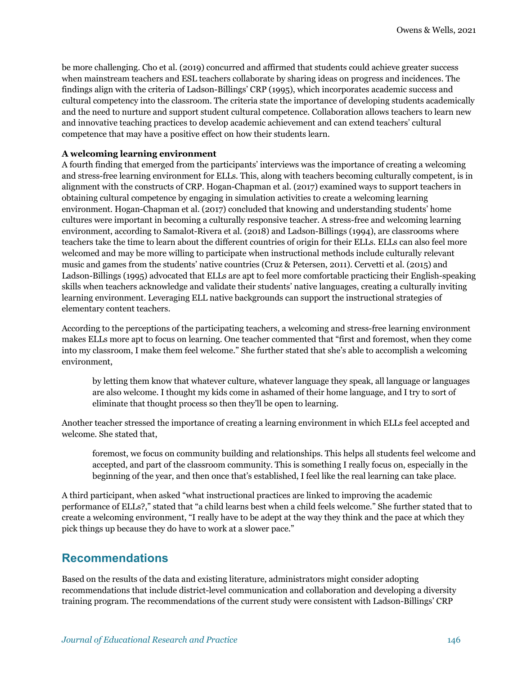be more challenging. Cho et al. (2019) concurred and affirmed that students could achieve greater success when mainstream teachers and ESL teachers collaborate by sharing ideas on progress and incidences. The findings align with the criteria of Ladson-Billings' CRP (1995), which incorporates academic success and cultural competency into the classroom. The criteria state the importance of developing students academically and the need to nurture and support student cultural competence. Collaboration allows teachers to learn new and innovative teaching practices to develop academic achievement and can extend teachers' cultural competence that may have a positive effect on how their students learn.

#### **A welcoming learning environment**

A fourth finding that emerged from the participants' interviews was the importance of creating a welcoming and stress-free learning environment for ELLs. This, along with teachers becoming culturally competent, is in alignment with the constructs of CRP. Hogan-Chapman et al. (2017) examined ways to support teachers in obtaining cultural competence by engaging in simulation activities to create a welcoming learning environment. Hogan-Chapman et al. (2017) concluded that knowing and understanding students' home cultures were important in becoming a culturally responsive teacher. A stress-free and welcoming learning environment, according to Samalot-Rivera et al. (2018) and Ladson-Billings (1994), are classrooms where teachers take the time to learn about the different countries of origin for their ELLs. ELLs can also feel more welcomed and may be more willing to participate when instructional methods include culturally relevant music and games from the students' native countries (Cruz & Petersen, 2011). Cervetti et al. (2015) and Ladson-Billings (1995) advocated that ELLs are apt to feel more comfortable practicing their English-speaking skills when teachers acknowledge and validate their students' native languages, creating a culturally inviting learning environment. Leveraging ELL native backgrounds can support the instructional strategies of elementary content teachers.

According to the perceptions of the participating teachers, a welcoming and stress-free learning environment makes ELLs more apt to focus on learning. One teacher commented that "first and foremost, when they come into my classroom, I make them feel welcome." She further stated that she's able to accomplish a welcoming environment,

by letting them know that whatever culture, whatever language they speak, all language or languages are also welcome. I thought my kids come in ashamed of their home language, and I try to sort of eliminate that thought process so then they'll be open to learning.

Another teacher stressed the importance of creating a learning environment in which ELLs feel accepted and welcome. She stated that,

foremost, we focus on community building and relationships. This helps all students feel welcome and accepted, and part of the classroom community. This is something I really focus on, especially in the beginning of the year, and then once that's established, I feel like the real learning can take place.

A third participant, when asked "what instructional practices are linked to improving the academic performance of ELLs?," stated that "a child learns best when a child feels welcome." She further stated that to create a welcoming environment, "I really have to be adept at the way they think and the pace at which they pick things up because they do have to work at a slower pace."

### **Recommendations**

Based on the results of the data and existing literature, administrators might consider adopting recommendations that include district-level communication and collaboration and developing a diversity training program. The recommendations of the current study were consistent with Ladson-Billings' CRP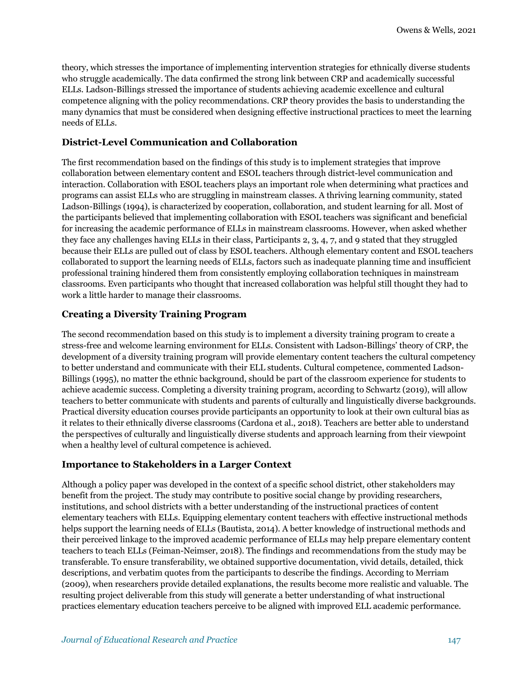theory, which stresses the importance of implementing intervention strategies for ethnically diverse students who struggle academically. The data confirmed the strong link between CRP and academically successful ELLs. Ladson-Billings stressed the importance of students achieving academic excellence and cultural competence aligning with the policy recommendations. CRP theory provides the basis to understanding the many dynamics that must be considered when designing effective instructional practices to meet the learning needs of ELLs.

### **District-Level Communication and Collaboration**

The first recommendation based on the findings of this study is to implement strategies that improve collaboration between elementary content and ESOL teachers through district-level communication and interaction. Collaboration with ESOL teachers plays an important role when determining what practices and programs can assist ELLs who are struggling in mainstream classes. A thriving learning community, stated Ladson-Billings (1994), is characterized by cooperation, collaboration, and student learning for all. Most of the participants believed that implementing collaboration with ESOL teachers was significant and beneficial for increasing the academic performance of ELLs in mainstream classrooms. However, when asked whether they face any challenges having ELLs in their class, Participants 2, 3, 4, 7, and 9 stated that they struggled because their ELLs are pulled out of class by ESOL teachers. Although elementary content and ESOL teachers collaborated to support the learning needs of ELLs, factors such as inadequate planning time and insufficient professional training hindered them from consistently employing collaboration techniques in mainstream classrooms. Even participants who thought that increased collaboration was helpful still thought they had to work a little harder to manage their classrooms.

### **Creating a Diversity Training Program**

The second recommendation based on this study is to implement a diversity training program to create a stress-free and welcome learning environment for ELLs. Consistent with Ladson-Billings' theory of CRP, the development of a diversity training program will provide elementary content teachers the cultural competency to better understand and communicate with their ELL students. Cultural competence, commented Ladson-Billings (1995), no matter the ethnic background, should be part of the classroom experience for students to achieve academic success. Completing a diversity training program, according to Schwartz (2019), will allow teachers to better communicate with students and parents of culturally and linguistically diverse backgrounds. Practical diversity education courses provide participants an opportunity to look at their own cultural bias as it relates to their ethnically diverse classrooms (Cardona et al., 2018). Teachers are better able to understand the perspectives of culturally and linguistically diverse students and approach learning from their viewpoint when a healthy level of cultural competence is achieved.

### **Importance to Stakeholders in a Larger Context**

Although a policy paper was developed in the context of a specific school district, other stakeholders may benefit from the project. The study may contribute to positive social change by providing researchers, institutions, and school districts with a better understanding of the instructional practices of content elementary teachers with ELLs. Equipping elementary content teachers with effective instructional methods helps support the learning needs of ELLs (Bautista, 2014). A better knowledge of instructional methods and their perceived linkage to the improved academic performance of ELLs may help prepare elementary content teachers to teach ELLs (Feiman-Neimser, 2018). The findings and recommendations from the study may be transferable. To ensure transferability, we obtained supportive documentation, vivid details, detailed, thick descriptions, and verbatim quotes from the participants to describe the findings. According to Merriam (2009), when researchers provide detailed explanations, the results become more realistic and valuable. The resulting project deliverable from this study will generate a better understanding of what instructional practices elementary education teachers perceive to be aligned with improved ELL academic performance.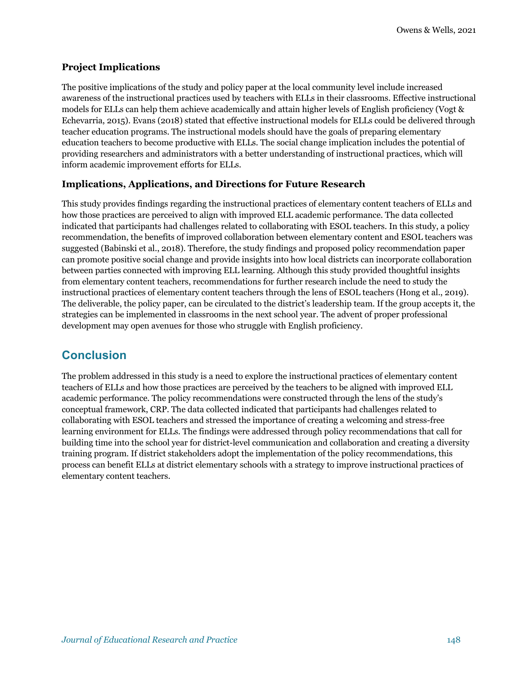### **Project Implications**

The positive implications of the study and policy paper at the local community level include increased awareness of the instructional practices used by teachers with ELLs in their classrooms. Effective instructional models for ELLs can help them achieve academically and attain higher levels of English proficiency (Vogt & Echevarria, 2015). Evans (2018) stated that effective instructional models for ELLs could be delivered through teacher education programs. The instructional models should have the goals of preparing elementary education teachers to become productive with ELLs. The social change implication includes the potential of providing researchers and administrators with a better understanding of instructional practices, which will inform academic improvement efforts for ELLs.

### **Implications, Applications, and Directions for Future Research**

This study provides findings regarding the instructional practices of elementary content teachers of ELLs and how those practices are perceived to align with improved ELL academic performance. The data collected indicated that participants had challenges related to collaborating with ESOL teachers. In this study, a policy recommendation, the benefits of improved collaboration between elementary content and ESOL teachers was suggested (Babinski et al., 2018). Therefore, the study findings and proposed policy recommendation paper can promote positive social change and provide insights into how local districts can incorporate collaboration between parties connected with improving ELL learning. Although this study provided thoughtful insights from elementary content teachers, recommendations for further research include the need to study the instructional practices of elementary content teachers through the lens of ESOL teachers (Hong et al., 2019). The deliverable, the policy paper, can be circulated to the district's leadership team. If the group accepts it, the strategies can be implemented in classrooms in the next school year. The advent of proper professional development may open avenues for those who struggle with English proficiency.

## **Conclusion**

The problem addressed in this study is a need to explore the instructional practices of elementary content teachers of ELLs and how those practices are perceived by the teachers to be aligned with improved ELL academic performance. The policy recommendations were constructed through the lens of the study's conceptual framework, CRP. The data collected indicated that participants had challenges related to collaborating with ESOL teachers and stressed the importance of creating a welcoming and stress-free learning environment for ELLs. The findings were addressed through policy recommendations that call for building time into the school year for district-level communication and collaboration and creating a diversity training program. If district stakeholders adopt the implementation of the policy recommendations, this process can benefit ELLs at district elementary schools with a strategy to improve instructional practices of elementary content teachers.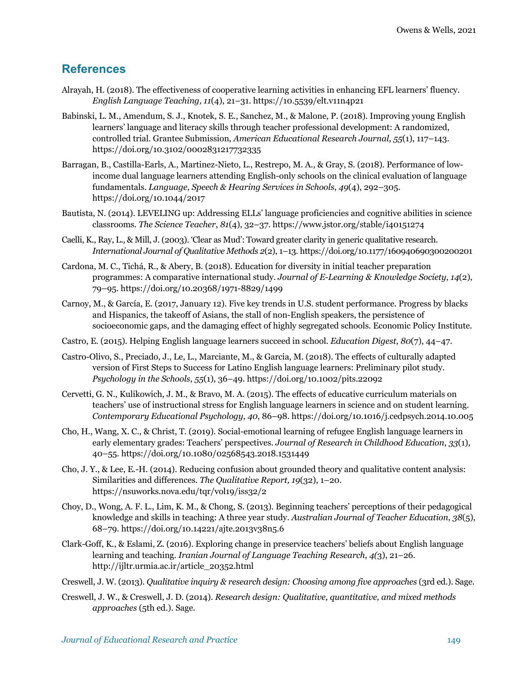## **References**

- Alrayah, H. (2018). The effectiveness of cooperative learning activities in enhancing EFL learners' fluency. *English Language Teaching, 11*(4), 21–31. https://10.5539/elt.v11n4p21
- Babinski, L. M., Amendum, S. J., Knotek, S. E., Sanchez, M., & Malone, P. (2018). Improving young English learners' language and literacy skills through teacher professional development: A randomized, controlled trial. Grantee Submission, *American Educational Research Journal*, *55*(1), 117–143. https://doi.org/10.3102/0002831217732335
- Barragan, B., Castilla-Earls, A., Martinez-Nieto, L., Restrepo, M. A., & Gray, S. (2018). Performance of lowincome dual language learners attending English-only schools on the clinical evaluation of language fundamentals. *Language, Speech & Hearing Services in Schools*, *49*(4), 292–305. https://doi.org/10.1044/2017
- Bautista, N. (2014). LEVELING up: Addressing ELLs' language proficiencies and cognitive abilities in science classrooms. *The Science Teacher*, *81*(4), 32–37. https://www.jstor.org/stable/i40151274
- Caelli, K., Ray, L., & Mill, J. (2003). 'Clear as Mud': Toward greater clarity in generic qualitative research. *International Journal of Qualitative Methods 2*(2), 1–13. https://doi.org/10.1177/160940690300200201
- Cardona, M. C., Tichá, R., & Abery, B. (2018). Education for diversity in initial teacher preparation programmes: A comparative international study. *Journal of E-Learning & Knowledge Society*, *14*(2), 79–95. https://doi.org/10.20368/1971-8829/1499
- Carnoy, M., & García, E. (2017, January 12). Five key trends in U.S. student performance. Progress by blacks and Hispanics, the takeoff of Asians, the stall of non-English speakers, the persistence of socioeconomic gaps, and the damaging effect of highly segregated schools. Economic Policy Institute.
- Castro, E. (2015). Helping English language learners succeed in school. *Education Digest*, *80*(7), 44–47.
- Castro-Olivo, S., Preciado, J., Le, L., Marciante, M., & Garcia, M. (2018). The effects of culturally adapted version of First Steps to Success for Latino English language learners: Preliminary pilot study. *Psychology in the Schools*, *55*(1), 36–49. https://doi.org/10.1002/pits.22092
- Cervetti, G. N., Kulikowich, J. M., & Bravo, M. A. (2015). The effects of educative curriculum materials on teachers' use of instructional stress for English language learners in science and on student learning. *Contemporary Educational Psychology*, *40*, 86–98. https://doi.org/10.1016/j.cedpsych.2014.10.005
- Cho, H., Wang, X. C., & Christ, T. (2019). Social-emotional learning of refugee English language learners in early elementary grades: Teachers' perspectives. *Journal of Research in Childhood Education*, *33*(1), 40–55. https://doi.org/10.1080/02568543.2018.1531449
- Cho, J. Y., & Lee, E.-H. (2014). Reducing confusion about grounded theory and qualitative content analysis: Similarities and differences. *The Qualitative Report, 19*(32), 1–20. https://nsuworks.nova.edu/tqr/vol19/iss32/2
- Choy, D., Wong, A. F. L., Lim, K. M., & Chong, S. (2013). Beginning teachers' perceptions of their pedagogical knowledge and skills in teaching: A three year study. *Australian Journal of Teacher Education*, *38*(5), 68–79. https://doi.org/10.14221/ajte.2013v38n5.6
- Clark-Goff, K., & Eslami, Z. (2016). Exploring change in preservice teachers' beliefs about English language learning and teaching. *Iranian Journal of Language Teaching Research*, *4(*3), 21–26. http://ijltr.urmia.ac.ir/article\_20352.html
- Creswell, J. W. (2013). *Qualitative inquiry & research design: Choosing among five approaches* (3rd ed.). Sage.
- Creswell, J. W., & Creswell, J. D. (2014). *Research design: Qualitative, quantitative, and mixed methods approaches* (5th ed.). Sage.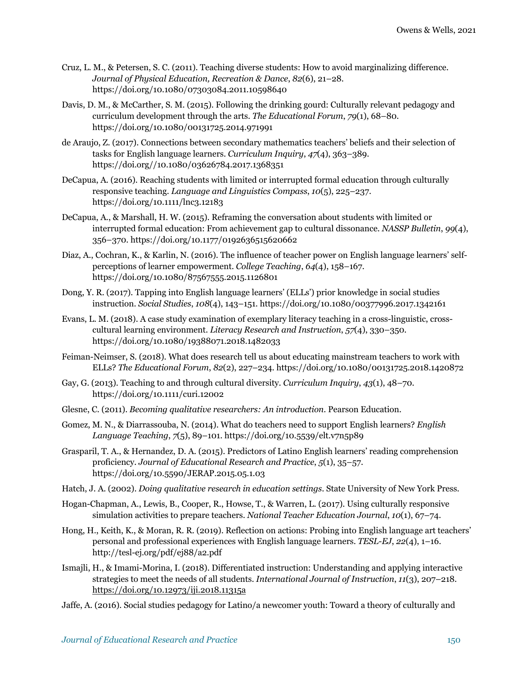- Cruz, L. M., & Petersen, S. C. (2011). Teaching diverse students: How to avoid marginalizing difference. *Journal of Physical Education, Recreation & Dance*, *82*(6), 21–28. https://doi.org/10.1080/07303084.2011.10598640
- Davis, D. M., & McCarther, S. M. (2015). Following the drinking gourd: Culturally relevant pedagogy and curriculum development through the arts. *The Educational Forum*, *79*(1), 68–80. https://doi.org/10.1080/00131725.2014.971991
- de Araujo, Z. (2017). Connections between secondary mathematics teachers' beliefs and their selection of tasks for English language learners. *Curriculum Inquiry*, *47*(4), 363–389. https://doi.org//10.1080/03626784.2017.1368351
- DeCapua, A. (2016). Reaching students with limited or interrupted formal education through culturally responsive teaching. *Language and Linguistics Compass*, *10*(5), 225–237. https://doi.org/10.1111/lnc3.12183
- DeCapua, A., & Marshall, H. W. (2015). Reframing the conversation about students with limited or interrupted formal education: From achievement gap to cultural dissonance. *NASSP Bulletin*, *99*(4), 356–370. https://doi.org/10.1177/0192636515620662
- Diaz, A., Cochran, K., & Karlin, N. (2016). The influence of teacher power on English language learners' selfperceptions of learner empowerment. *College Teaching*, *64*(4), 158–167. https://doi.org/10.1080/87567555.2015.1126801
- Dong, Y. R. (2017). Tapping into English language learners' (ELLs') prior knowledge in social studies instruction. *Social Studies*, *108*(4), 143–151. https://doi.org/10.1080/00377996.2017.1342161
- Evans, L. M. (2018). A case study examination of exemplary literacy teaching in a cross-linguistic, crosscultural learning environment. *Literacy Research and Instruction*, *57*(4), 330–350. https://doi.org/10.1080/19388071.2018.1482033
- Feiman-Neimser, S. (2018). What does research tell us about educating mainstream teachers to work with ELLs? *The Educational Forum*, *82*(2), 227–234. https://doi.org/10.1080/00131725.2018.1420872
- Gay, G. (2013). Teaching to and through cultural diversity. *Curriculum Inquiry*, *43*(1), 48–70. https://doi.org/10.1111/curi.12002
- Glesne, C. (2011). *Becoming qualitative researchers: An introduction*. Pearson Education.
- Gomez, M. N., & Diarrassouba, N. (2014). What do teachers need to support English learners? *English Language Teaching*, *7*(5), 89–101. https://doi.org/10.5539/elt.v7n5p89
- Grasparil, T. A., & Hernandez, D. A. (2015). Predictors of Latino English learners' reading comprehension proficiency. *Journal of Educational Research and Practice*, *5*(1), 35–57. https://doi.org/10.5590/JERAP.2015.05.1.03
- Hatch, J. A. (2002). *Doing qualitative research in education settings*. State University of New York Press.
- Hogan-Chapman, A., Lewis, B., Cooper, R., Howse, T., & Warren, L. (2017). Using culturally responsive simulation activities to prepare teachers. *National Teacher Education Journal*, *10*(1), 67–74.
- Hong, H., Keith, K., & Moran, R. R. (2019). Reflection on actions: Probing into English language art teachers' personal and professional experiences with English language learners. *TESL-EJ*, *22*(4), 1–16. http://tesl-ej.org/pdf/ej88/a2.pdf
- Ismajli, H., & Imami-Morina, I. (2018). Differentiated instruction: Understanding and applying interactive strategies to meet the needs of all students. *International Journal of Instruction*, *11*(3), 207–218. https://doi.org/10.12973/iji.2018.11315a
- Jaffe, A. (2016). Social studies pedagogy for Latino/a newcomer youth: Toward a theory of culturally and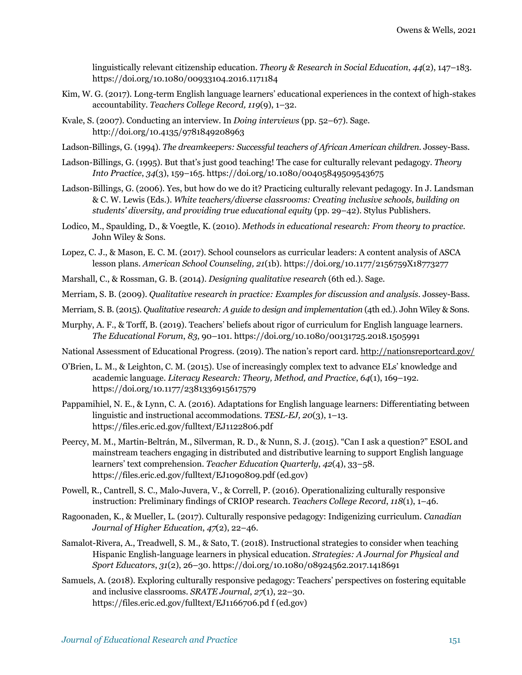linguistically relevant citizenship education. *Theory & Research in Social Education*, *44*(2), 147–183. https://doi.org/10.1080/00933104.2016.1171184

- Kim, W. G. (2017). Long-term English language learners' educational experiences in the context of high-stakes accountability. *Teachers College Record, 119*(9), 1–32.
- Kvale, S. (2007). Conducting an interview. In *Doing interviews* (pp. 52–67). Sage. http://doi.org/10.4135/9781849208963
- Ladson-Billings, G. (1994). *The dreamkeepers: Successful teachers of African American children.* Jossey-Bass.
- Ladson-Billings, G. (1995). But that's just good teaching! The case for culturally relevant pedagogy. *Theory Into Practice*, *34*(3), 159–165. https://doi.org/10.1080/00405849509543675
- Ladson-Billings, G. (2006). Yes, but how do we do it? Practicing culturally relevant pedagogy. In J. Landsman & C. W. Lewis (Eds.). *White teachers/diverse classrooms: Creating inclusive schools, building on students' diversity, and providing true educational equity* (pp. 29–42). Stylus Publishers.
- Lodico, M., Spaulding, D., & Voegtle, K. (2010). *Methods in educational research: From theory to practice.* John Wiley & Sons.
- Lopez, C. J., & Mason, E. C. M. (2017). School counselors as curricular leaders: A content analysis of ASCA lesson plans. *American School Counseling, 21*(1b). https://doi.org/10.1177/2156759X18773277
- Marshall, C., & Rossman, G. B. (2014). *Designing qualitative research* (6th ed.). Sage.
- Merriam, S. B. (2009). *Qualitative research in practice: Examples for discussion and analysis*. Jossey-Bass.
- Merriam, S. B. (2015). *Qualitative research: A guide to design and implementation* (4th ed.). John Wiley & Sons.
- Murphy, A. F., & Torff, B. (2019). Teachers' beliefs about rigor of curriculum for English language learners. *The Educational Forum*, *83*, 90–101. https://doi.org/10.1080/00131725.2018.1505991

National Assessment of Educational Progress. (2019). The nation's report card. http://nationsreportcard.gov/

- O'Brien, L. M., & Leighton, C. M. (2015). Use of increasingly complex text to advance ELs' knowledge and academic language. *Literacy Research: Theory, Method, and Practice*, *64*(1), 169–192. https://doi.org/10.1177/2381336915617579
- Pappamihiel, N. E., & Lynn, C. A. (2016). Adaptations for English language learners: Differentiating between linguistic and instructional accommodations. *TESL-EJ, 20*(3), 1–13. https://files.eric.ed.gov/fulltext/EJ1122806.pdf
- Peercy, M. M., Martin-Beltrán, M., Silverman, R. D., & Nunn, S. J. (2015). "Can I ask a question?" ESOL and mainstream teachers engaging in distributed and distributive learning to support English language learners' text comprehension. *Teacher Education Quarterly*, *42*(4), 33–58. https://files.eric.ed.gov/fulltext/EJ1090809.pdf (ed.gov)
- Powell, R., Cantrell, S. C., Malo-Juvera, V., & Correll, P. (2016). Operationalizing culturally responsive instruction: Preliminary findings of CRIOP research. *Teachers College Record*, *118*(1), 1–46.
- Ragoonaden, K., & Mueller, L. (2017). Culturally responsive pedagogy: Indigenizing curriculum. *Canadian Journal of Higher Education*, *47*(2), 22–46.
- Samalot-Rivera, A., Treadwell, S. M., & Sato, T. (2018). Instructional strategies to consider when teaching Hispanic English-language learners in physical education. *Strategies: A Journal for Physical and Sport Educators*, *31*(2), 26–30. https://doi.org/10.1080/08924562.2017.1418691
- Samuels, A. (2018). Exploring culturally responsive pedagogy: Teachers' perspectives on fostering equitable and inclusive classrooms. *SRATE Journal*, *27*(1), 22–30. https://files.eric.ed.gov/fulltext/EJ1166706.pd f (ed.gov)